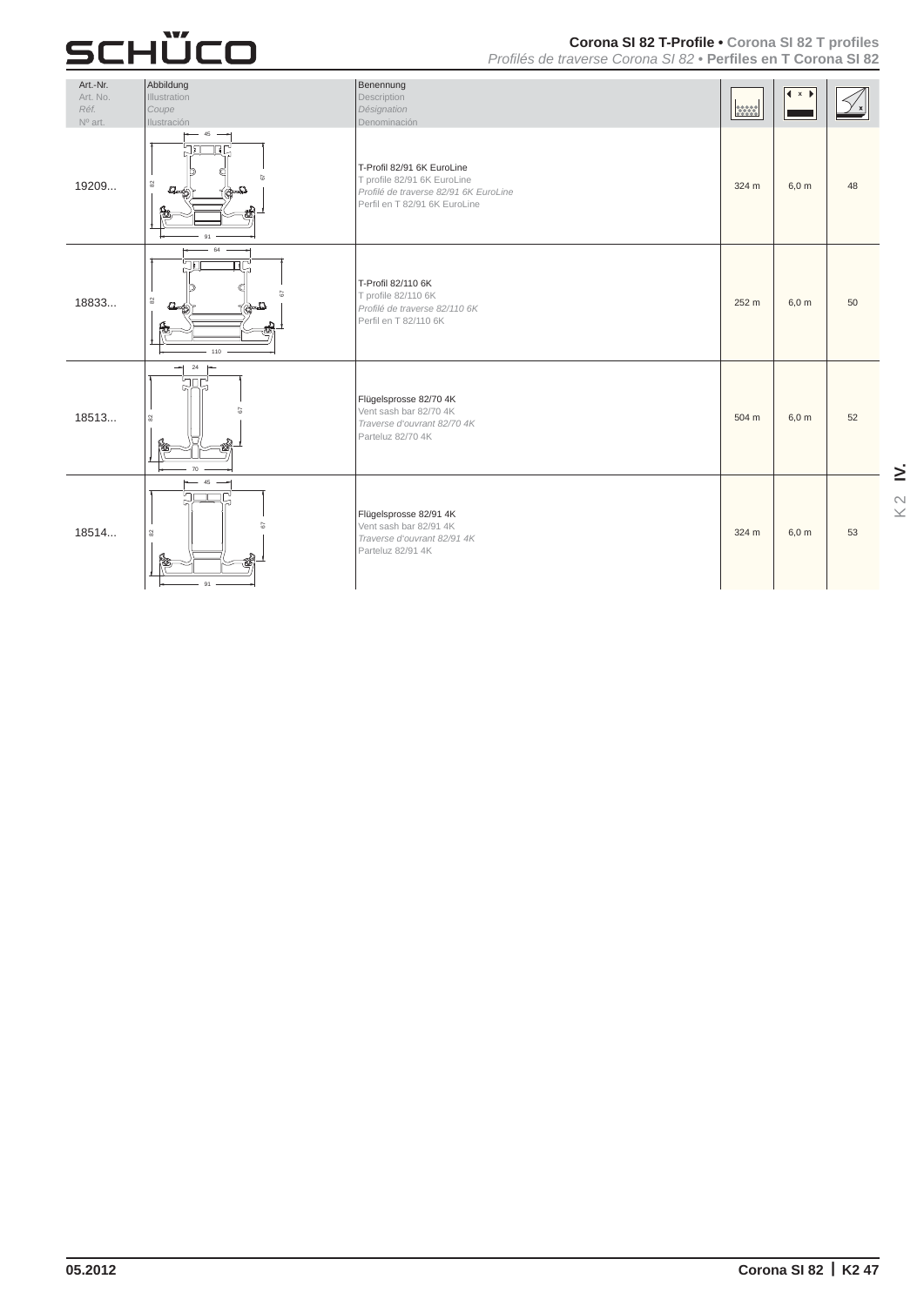#### **Corona SI 82 T-Profile• Corona SI 82 T profiles**

*Profilés de traverse Corona SI 82•* **Perfiles en T Corona SI 82** 

| Art.-Nr.<br>Art. No.<br>Réf.<br>Nº art. | Abbildung<br>Illustration<br>Coupe<br>Ilustración                       | Benennung<br>Description<br>Désignation<br>Denominación                                                                             | <b>MARK</b> | $\vert x \rangle$ |    |
|-----------------------------------------|-------------------------------------------------------------------------|-------------------------------------------------------------------------------------------------------------------------------------|-------------|-------------------|----|
| 19209                                   | 45<br>75<br>RC<br>8<br>$\Box$<br>and is<br>ఉ<br>91                      | T-Profil 82/91 6K EuroLine<br>T profile 82/91 6K EuroLine<br>Profilé de traverse 82/91 6K EuroLine<br>Perfil en T 82/91 6K EuroLine | 324 m       | $6,0 \text{ m}$   | 48 |
| 18833                                   | 64<br>תר!<br>ΠU,<br>$_{82}$<br>$\Delta$<br>$\Delta$<br>质<br>110         | T-Profil 82/110 6K<br>T profile 82/110 6K<br>Profilé de traverse 82/110 6K<br>Perfil en T 82/110 6K                                 | 252 m       | 6,0 m             | 50 |
| 18513                                   | $\overline{\phantom{0}}$<br>24<br>$\leftarrow$<br><b>SAG</b><br>饇<br>70 | Flügelsprosse 82/70 4K<br>Vent sash bar 82/70 4K<br>Traverse d'ouvrant 82/70 4K<br>Parteluz 82/70 4K                                | 504 m       | 6,0 m             | 52 |
| 18514                                   | 45<br>৸<br>$\mathbf{S}^2$<br>隐<br>91                                    | Flügelsprosse 82/91 4K<br>Vent sash bar 82/91 4K<br>Traverse d'ouvrant 82/91 4K<br>Parteluz 82/91 4K                                | 324 m       | $6,0 \text{ m}$   | 53 |

**IV.** K 2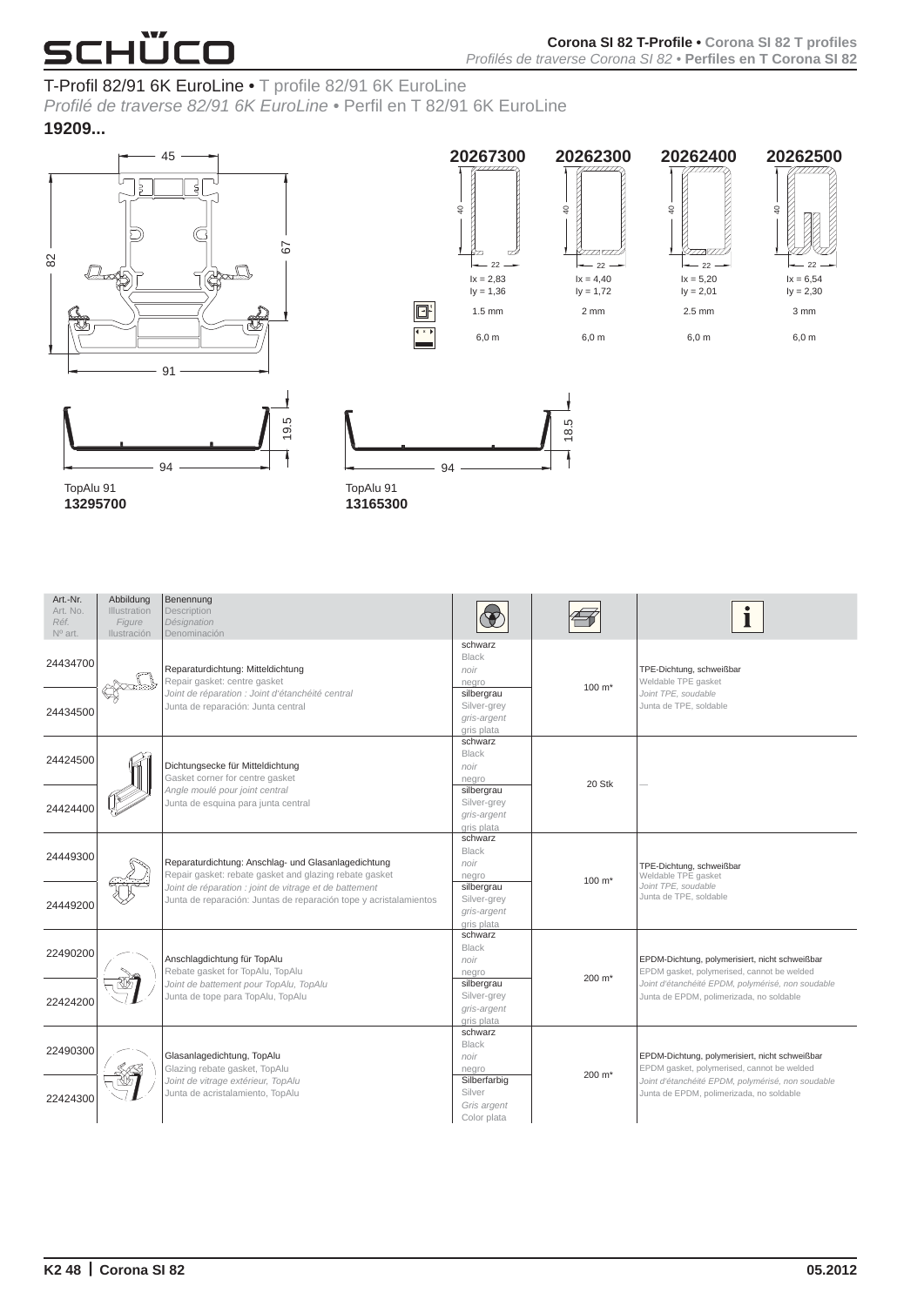### T-Profil 82/91 6K EuroLine• T profile 82/91 6K EuroLine

*Profilé de traverse 82/91 6K EuroLine•* Perfil en T 82/91 6K EuroLine **19209 ...**





**x**

94



 $-22$ 

18.5



| Art.-Nr.<br>Art. No.<br>Réf.<br>$N^{\circ}$ art. | Abbildung<br>Illustration<br>Figure<br>Ilustración | Benennung<br>Description<br>Désignation<br>Denominación                                                                     |                                                        |                    |                                                                                               |
|--------------------------------------------------|----------------------------------------------------|-----------------------------------------------------------------------------------------------------------------------------|--------------------------------------------------------|--------------------|-----------------------------------------------------------------------------------------------|
| 24434700                                         |                                                    | Reparaturdichtung: Mitteldichtung<br>Repair gasket: centre gasket                                                           | schwarz<br><b>Black</b><br>noir<br>negro               | 100 m <sup>*</sup> | TPE-Dichtung, schweißbar<br>Weldable TPE gasket                                               |
| 24434500                                         |                                                    | Joint de réparation : Joint d'étanchéité central<br>Junta de reparación: Junta central                                      | silbergrau<br>Silver-grey<br>gris-argent<br>gris plata |                    | Joint TPE, soudable<br>Junta de TPE, soldable                                                 |
| 24424500                                         |                                                    | Dichtungsecke für Mitteldichtung<br>Gasket corner for centre gasket                                                         | schwarz<br><b>Black</b><br>noir<br>negro               |                    |                                                                                               |
| 24424400                                         |                                                    | Angle moulé pour joint central<br>Junta de esquina para junta central                                                       | silbergrau<br>Silver-grey<br>gris-argent<br>gris plata | 20 Stk             |                                                                                               |
| 24449300                                         |                                                    | Reparaturdichtung: Anschlag- und Glasanlagedichtung<br>Repair gasket: rebate gasket and glazing rebate gasket               | schwarz<br><b>Black</b><br>noir<br>negro               | $100 \text{ m}^*$  | TPE-Dichtung, schweißbar<br>Weldable TPE gasket                                               |
| 24449200                                         |                                                    | Joint de réparation : joint de vitrage et de battement<br>Junta de reparación: Juntas de reparación tope y acristalamientos | silbergrau<br>Silver-grey<br>gris-argent<br>gris plata |                    | Joint TPE, soudable<br>Junta de TPE, soldable                                                 |
| 22490200                                         |                                                    | Anschlagdichtung für TopAlu<br>Rebate gasket for TopAlu, TopAlu                                                             | schwarz<br><b>Black</b><br>noir<br>negro               | 200 m <sup>*</sup> | EPDM-Dichtung, polymerisiert, nicht schweißbar<br>EPDM gasket, polymerised, cannot be welded  |
| 22424200                                         |                                                    | Joint de battement pour TopAlu, TopAlu<br>Junta de tope para TopAlu, TopAlu                                                 | silbergrau<br>Silver-grey<br>gris-argent<br>gris plata |                    | Joint d'étanchéité EPDM, polymérisé, non soudable<br>Junta de EPDM, polimerizada, no soldable |
| 22490300                                         |                                                    | Glasanlagedichtung, TopAlu<br>Glazing rebate gasket, TopAlu                                                                 | schwarz<br><b>Black</b><br>noir<br>negro               | 200 m <sup>*</sup> | EPDM-Dichtung, polymerisiert, nicht schweißbar<br>EPDM gasket, polymerised, cannot be welded  |
| 22424300                                         |                                                    | Joint de vitrage extérieur, TopAlu<br>Junta de acristalamiento, TopAlu                                                      | Silberfarbig<br>Silver<br>Gris argent<br>Color plata   |                    | Joint d'étanchéité EPDM, polymérisé, non soudable<br>Junta de EPDM, polimerizada, no soldable |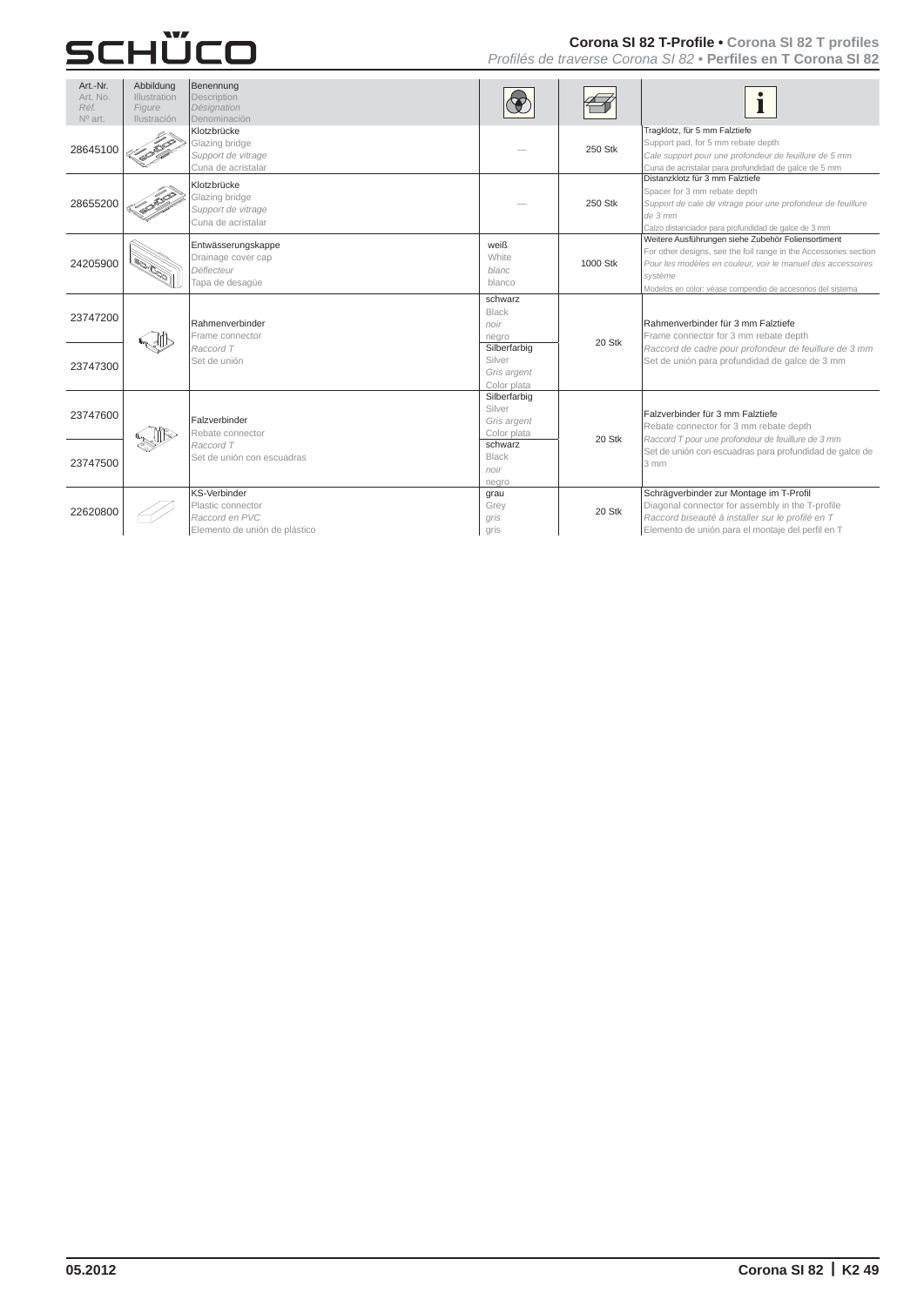#### **Corona SI 82 T-Profile• Corona SI 82 T profiles**

*Profilés de traverse Corona SI 82•* **Perfiles en T Corona SI 82** 

| Art.-Nr.<br>Art. No.<br>Réf.<br>Nº art. | Abbildung<br><b>Illustration</b><br>Figure<br><b>Ilustración</b> | Benennung<br>Description<br>Désignation<br>Denominación                              |                                                      |          |                                                                                                                                                                                                                                                                 |
|-----------------------------------------|------------------------------------------------------------------|--------------------------------------------------------------------------------------|------------------------------------------------------|----------|-----------------------------------------------------------------------------------------------------------------------------------------------------------------------------------------------------------------------------------------------------------------|
| 28645100                                |                                                                  | Klotzbrücke<br>Glazing bridge<br>Support de vitrage<br>Cuna de acristalar            |                                                      | 250 Stk  | Tragklotz, für 5 mm Falztiefe<br>Support pad, for 5 mm rebate depth<br>Cale support pour une profondeur de feuillure de 5 mm<br>Cuna de acristalar para profundidad de galce de 5 mm                                                                            |
| 28655200                                |                                                                  | Klotzbrücke<br>Glazing bridge<br>Support de vitrage<br>Cuna de acristalar            |                                                      | 250 Stk  | Distanzklotz für 3 mm Falztiefe<br>Spacer for 3 mm rebate depth<br>Support de cale de vitrage pour une profondeur de feuillure<br>de 3 mm<br>Calzo distanciador para profundidad de galce de 3 mm                                                               |
| 24205900                                |                                                                  | Entwässerungskappe<br>Drainage cover cap<br>Déflecteur<br>Tapa de desagüe            | weiß<br>White<br>blanc<br>blanco                     | 1000 Stk | Weitere Ausführungen siehe Zubehör Foliensortiment<br>For other designs, see the foil range in the Accessories section<br>Pour les modèles en couleur, voir le manuel des accessoires<br>svstème<br>Modelos en color: véase compendio de accesorios del sistema |
| 23747200                                |                                                                  | Rahmenverbinder<br>Frame connector                                                   | schwarz<br>Black<br>noir<br>negro                    | 20 Stk   | Rahmenverbinder für 3 mm Falztiefe<br>Frame connector for 3 mm rebate depth                                                                                                                                                                                     |
| 23747300                                |                                                                  | Raccord T<br>Set de unión                                                            | Silberfarbig<br>Silver<br>Gris argent<br>Color plata |          | Raccord de cadre pour profondeur de feuillure de 3 mm<br>Set de unión para profundidad de galce de 3 mm                                                                                                                                                         |
| 23747600                                |                                                                  | Falzverbinder<br>Rebate connector                                                    | Silberfarbig<br>Silver<br>Gris argent<br>Color plata | 20 Stk   | Falzverbinder für 3 mm Falztiefe<br>Rebate connector for 3 mm rebate depth<br>Raccord T pour une profondeur de feuillure de 3 mm                                                                                                                                |
| 23747500                                |                                                                  | Raccord T<br>Set de unión con escuadras                                              | schwarz<br>Black<br>noir<br>negro                    |          | Set de unión con escuadras para profundidad de galce de<br>$3 \, \text{mm}$                                                                                                                                                                                     |
| 22620800                                |                                                                  | KS-Verbinder<br>Plastic connector<br>Raccord en PVC<br>Elemento de unión de plástico | grau<br>Grey<br>gris<br>gris                         | 20 Stk   | Schräqverbinder zur Montage im T-Profil<br>Diagonal connector for assembly in the T-profile<br>Raccord biseauté à installer sur le profilé en T<br>Elemento de unión para el montaje del perfil en T                                                            |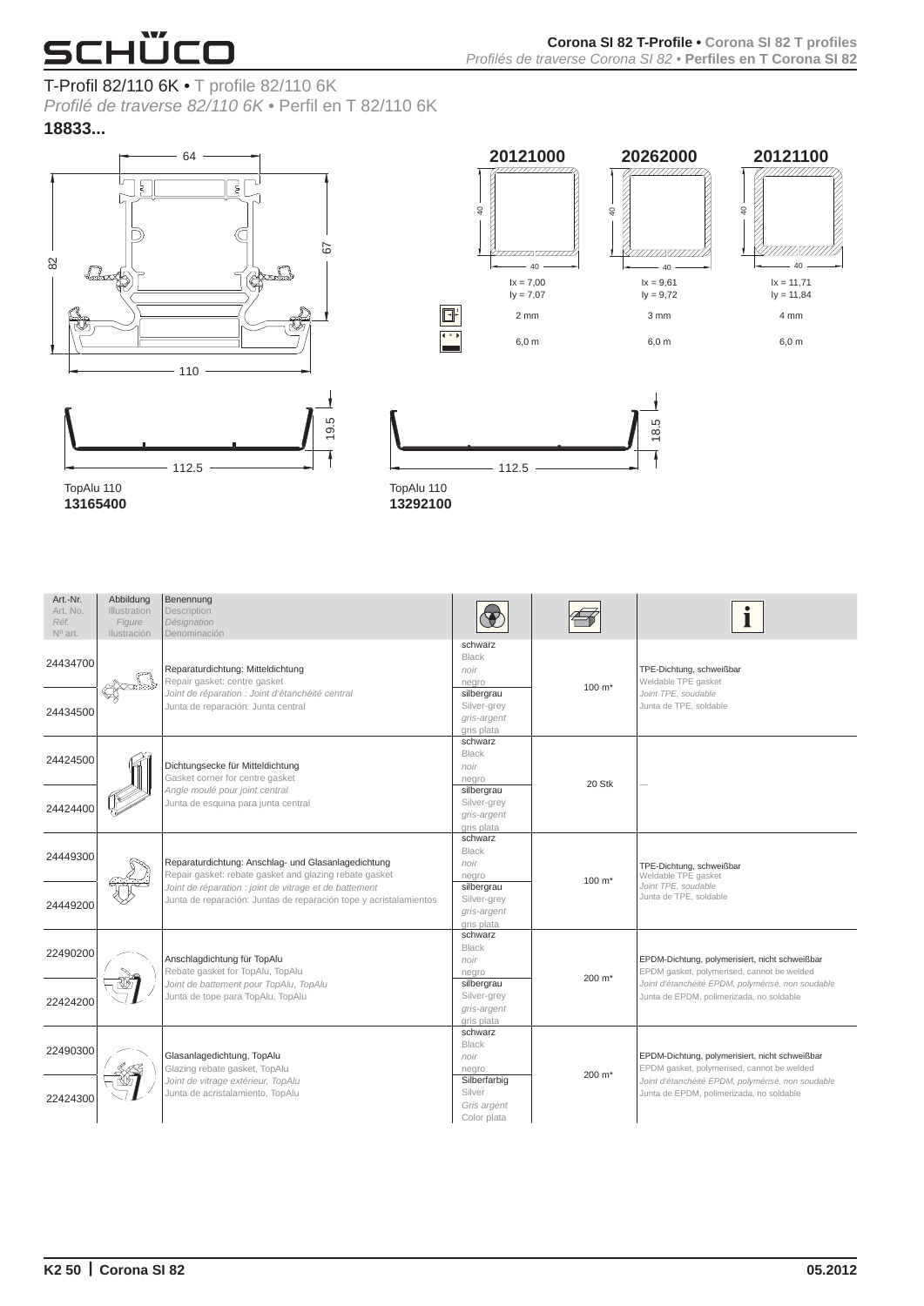#### T-Profil 82/110 6K• T profile 82/110 6K

*Profilé de traverse 82/110 6K•* Perfil en T 82/110 6K **18833 ...**



**13165400** 





| Art.-Nr.<br>Art. No.<br>Réf.<br>$N^{\circ}$ art. | Abbildung<br>Illustration<br>Figure<br>Ilustración | Benennung<br>Description<br>Désignation<br>Denominación                                                                                                                                                                                      |                                                        |                     |                                                                                                                                                                                               |
|--------------------------------------------------|----------------------------------------------------|----------------------------------------------------------------------------------------------------------------------------------------------------------------------------------------------------------------------------------------------|--------------------------------------------------------|---------------------|-----------------------------------------------------------------------------------------------------------------------------------------------------------------------------------------------|
| 24434700                                         |                                                    | Reparaturdichtung: Mitteldichtung<br>Repair gasket: centre gasket<br>Joint de réparation : Joint d'étanchéité central<br>Junta de reparación: Junta central                                                                                  | schwarz<br>Black<br>noir<br>negro                      | $100 \; \text{m}^*$ | TPE-Dichtung, schweißbar<br>Weldable TPE gasket<br>Joint TPE, soudable<br>Junta de TPE, soldable                                                                                              |
| 24434500                                         |                                                    |                                                                                                                                                                                                                                              | silbergrau<br>Silver-grey<br>gris-argent<br>gris plata |                     |                                                                                                                                                                                               |
| 24424500                                         |                                                    | Dichtungsecke für Mitteldichtung<br>Gasket corner for centre gasket                                                                                                                                                                          | schwarz<br><b>Black</b><br>noir<br>negro               |                     |                                                                                                                                                                                               |
| 24424400                                         |                                                    | Angle moulé pour joint central<br>Junta de esquina para junta central                                                                                                                                                                        | silbergrau<br>Silver-grey<br>gris-argent<br>gris plata | 20 Stk              |                                                                                                                                                                                               |
| 24449300                                         |                                                    | Reparaturdichtung: Anschlag- und Glasanlagedichtung<br>Repair gasket: rebate gasket and glazing rebate gasket<br>Joint de réparation : joint de vitrage et de battement<br>Junta de reparación: Juntas de reparación tope y acristalamientos | schwarz<br><b>Black</b><br>noir<br>negro               | $100 \text{ m}^*$   | TPE-Dichtung, schweißbar<br>Weldable TPE gasket<br>Joint TPE, soudable<br>Junta de TPE, soldable                                                                                              |
| 24449200                                         |                                                    |                                                                                                                                                                                                                                              | silbergrau<br>Silver-grey<br>gris-argent<br>gris plata |                     |                                                                                                                                                                                               |
| 22490200                                         |                                                    | Anschlagdichtung für TopAlu<br>Rebate gasket for TopAlu, TopAlu<br>Joint de battement pour TopAlu, TopAlu<br>Junta de tope para TopAlu, TopAlu                                                                                               | schwarz<br><b>Black</b><br>noir<br>negro               | 200 m <sup>*</sup>  | EPDM-Dichtung, polymerisiert, nicht schweißbar<br>EPDM gasket, polymerised, cannot be welded<br>Joint d'étanchéité EPDM, polymérisé, non soudable<br>Junta de EPDM, polimerizada, no soldable |
| 22424200                                         |                                                    |                                                                                                                                                                                                                                              | silbergrau<br>Silver-grey<br>gris-argent<br>gris plata |                     |                                                                                                                                                                                               |
| 22490300                                         |                                                    | Glasanlagedichtung, TopAlu<br>Glazing rebate gasket, TopAlu<br>Joint de vitrage extérieur, TopAlu<br>Junta de acristalamiento, TopAlu                                                                                                        | schwarz<br><b>Black</b><br>noir<br>negro               | 200 m <sup>*</sup>  | EPDM-Dichtung, polymerisiert, nicht schweißbar<br>EPDM gasket, polymerised, cannot be welded<br>Joint d'étanchéité EPDM, polymérisé, non soudable<br>Junta de EPDM, polimerizada, no soldable |
| 22424300                                         |                                                    |                                                                                                                                                                                                                                              | Silberfarbig<br>Silver<br>Gris argent<br>Color plata   |                     |                                                                                                                                                                                               |

**13292100**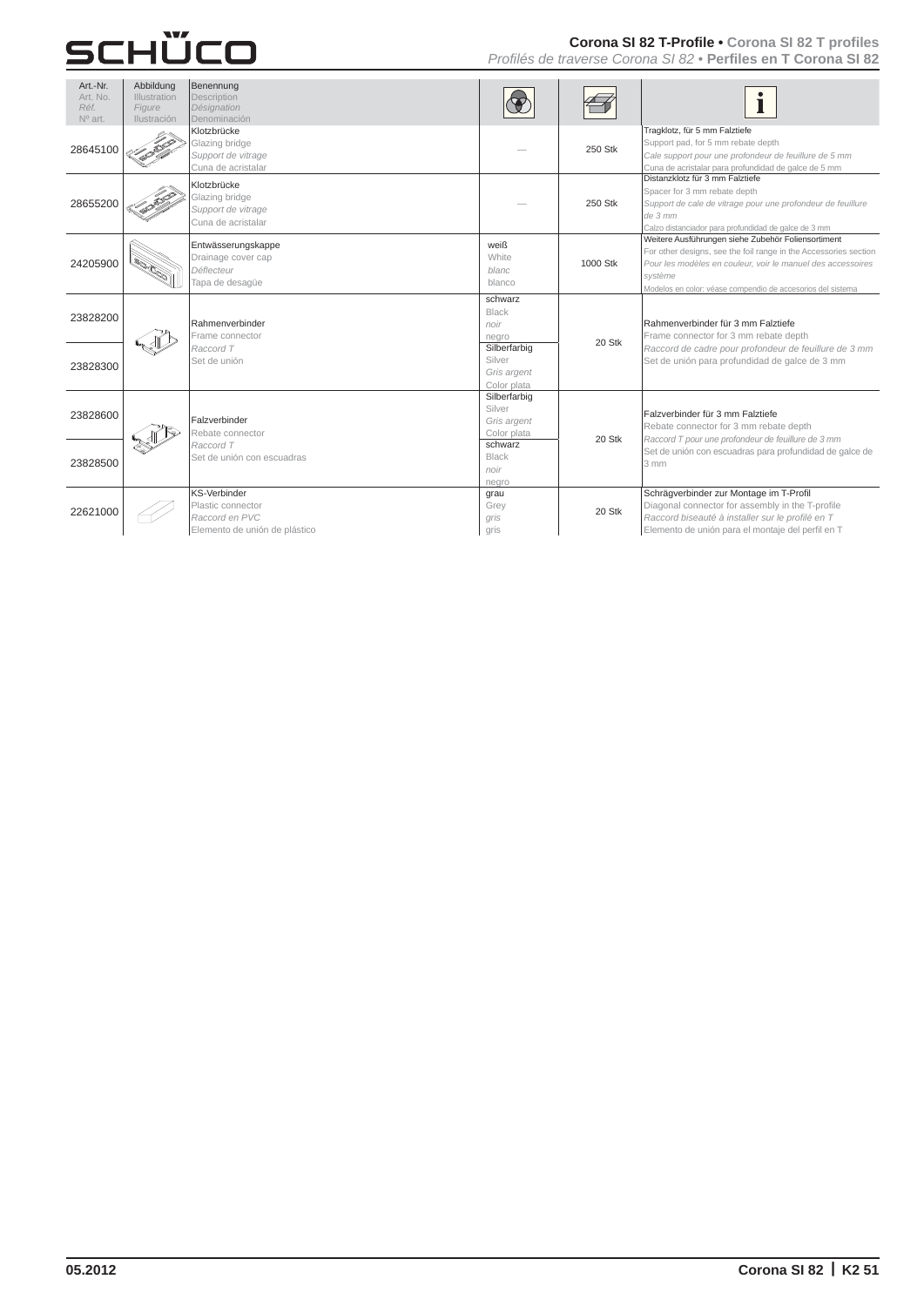#### **Corona SI 82 T-Profile• Corona SI 82 T profiles**

*Profilés de traverse Corona SI 82•* **Perfiles en T Corona SI 82** 

| Art.-Nr.<br>Art. No.<br>Réf.<br>Nº art. | Abbildung<br><b>Illustration</b><br>Figure<br><b>Ilustración</b> | Benennung<br>Description<br>Désignation<br>Denominación                                     |                                                      |          |                                                                                                                                                                                                                                                                 |
|-----------------------------------------|------------------------------------------------------------------|---------------------------------------------------------------------------------------------|------------------------------------------------------|----------|-----------------------------------------------------------------------------------------------------------------------------------------------------------------------------------------------------------------------------------------------------------------|
| 28645100                                |                                                                  | Klotzbrücke<br>Glazing bridge<br>Support de vitrage<br>Cuna de acristalar                   |                                                      | 250 Stk  | Tragklotz, für 5 mm Falztiefe<br>Support pad, for 5 mm rebate depth<br>Cale support pour une profondeur de feuillure de 5 mm<br>Cuna de acristalar para profundidad de galce de 5 mm                                                                            |
| 28655200                                |                                                                  | Klotzbrücke<br>Glazing bridge<br>Support de vitrage<br>Cuna de acristalar                   |                                                      | 250 Stk  | Distanzklotz für 3 mm Falztiefe<br>Spacer for 3 mm rebate depth<br>Support de cale de vitrage pour une profondeur de feuillure<br>$de$ 3 mm<br>Calzo distanciador para profundidad de galce de 3 mm                                                             |
| 24205900                                |                                                                  | Entwässerungskappe<br>Drainage cover cap<br>Déflecteur<br>Tapa de desagüe                   | weiß<br>White<br><b>blanc</b><br>blanco              | 1000 Stk | Weitere Ausführungen siehe Zubehör Foliensortiment<br>For other designs, see the foil range in the Accessories section<br>Pour les modèles en couleur, voir le manuel des accessoires<br>svstème<br>Modelos en color: véase compendio de accesorios del sistema |
| 23828200                                |                                                                  | Rahmenverbinder<br>Frame connector<br>Raccord T<br>Set de unión                             | schwarz<br>Black<br>noir<br>negro                    | 20 Stk   | Rahmenverbinder für 3 mm Falztiefe<br>Frame connector for 3 mm rebate depth<br>Raccord de cadre pour profondeur de feuillure de 3 mm<br>Set de unión para profundidad de galce de 3 mm                                                                          |
| 23828300                                |                                                                  |                                                                                             | Silberfarbig<br>Silver<br>Gris argent<br>Color plata |          |                                                                                                                                                                                                                                                                 |
| 23828600                                |                                                                  | Falzverbinder<br>Rebate connector                                                           | Silberfarbig<br>Silver<br>Gris argent<br>Color plata | 20 Stk   | Falzverbinder für 3 mm Falztiefe<br>Rebate connector for 3 mm rebate depth<br>Raccord T pour une profondeur de feuillure de 3 mm                                                                                                                                |
| 23828500                                |                                                                  | Raccord T<br>Set de unión con escuadras                                                     | schwarz<br>Black<br>noir<br>negro                    |          | Set de unión con escuadras para profundidad de galce de<br>3 mm                                                                                                                                                                                                 |
| 22621000                                |                                                                  | <b>KS-Verbinder</b><br>Plastic connector<br>Raccord en PVC<br>Elemento de unión de plástico | grau<br>Grey<br>gris<br>gris                         | 20 Stk   | Schrägverbinder zur Montage im T-Profil<br>Diagonal connector for assembly in the T-profile<br>Raccord biseauté à installer sur le profilé en T<br>Elemento de unión para el montaje del perfil en T                                                            |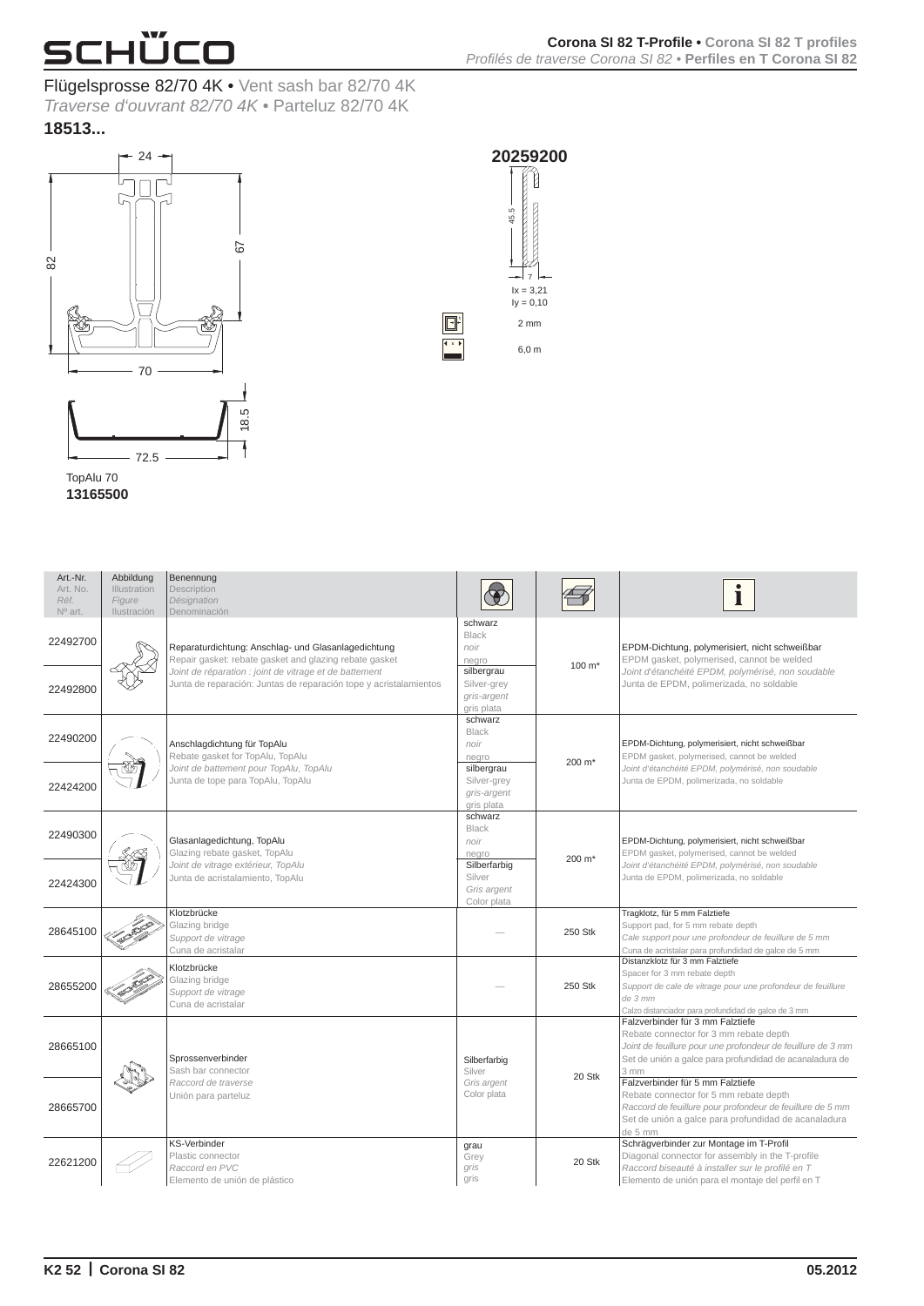

#### Flügelsprosse 82/70 4K• Vent sash bar 82/70 4K

*Traverse d'ouvrant 82/70 4K•* Parteluz 82/70 4K **18513 ...**





**x**

 $\Box^{\cdot}$ 

**20259200** 

TopAlu 70 **13165500** 

| Art.-Nr.<br>Art. No.<br>Réf.<br>Nº art. | Abbildung<br>Illustration<br>Figure<br>Ilustración | Benennung<br>Description<br>Désignation<br>Denominación                                                                     |                                                        |                    | Ť                                                                                                                                                                                                                       |
|-----------------------------------------|----------------------------------------------------|-----------------------------------------------------------------------------------------------------------------------------|--------------------------------------------------------|--------------------|-------------------------------------------------------------------------------------------------------------------------------------------------------------------------------------------------------------------------|
| 22492700                                |                                                    | Reparaturdichtung: Anschlag- und Glasanlagedichtung<br>Repair gasket: rebate gasket and glazing rebate gasket               | schwarz<br><b>Black</b><br>noir<br>negro               | 100 m <sup>*</sup> | EPDM-Dichtung, polymerisiert, nicht schweißbar<br>EPDM gasket, polymerised, cannot be welded                                                                                                                            |
| 22492800                                |                                                    | Joint de réparation : joint de vitrage et de battement<br>Junta de reparación: Juntas de reparación tope y acristalamientos | silbergrau<br>Silver-grey<br>gris-argent<br>gris plata |                    | Joint d'étanchéité EPDM, polymérisé, non soudable<br>Junta de EPDM, polimerizada, no soldable                                                                                                                           |
| 22490200                                |                                                    | Anschlagdichtung für TopAlu<br>Rebate gasket for TopAlu, TopAlu                                                             | schwarz<br><b>Black</b><br>noir<br>negro               |                    | EPDM-Dichtung, polymerisiert, nicht schweißbar<br>EPDM gasket, polymerised, cannot be welded                                                                                                                            |
| 22424200                                |                                                    | Joint de battement pour TopAlu, TopAlu<br>Junta de tope para TopAlu, TopAlu                                                 | silbergrau<br>Silver-grey<br>gris-argent<br>gris plata | 200 m <sup>*</sup> | Joint d'étanchéité EPDM, polymérisé, non soudable<br>Junta de EPDM, polimerizada, no soldable                                                                                                                           |
| 22490300                                |                                                    | Glasanlagedichtung, TopAlu<br>Glazing rebate gasket, TopAlu                                                                 | schwarz<br><b>Black</b><br>noir<br>nearo               |                    | EPDM-Dichtung, polymerisiert, nicht schweißbar<br>EPDM gasket, polymerised, cannot be welded                                                                                                                            |
| 22424300                                |                                                    | Joint de vitrage extérieur, TopAlu<br>Junta de acristalamiento, TopAlu                                                      | Silberfarbig<br>Silver<br>Gris argent<br>Color plata   | 200 m <sup>*</sup> | Joint d'étanchéité EPDM, polymérisé, non soudable<br>Junta de EPDM, polimerizada, no soldable                                                                                                                           |
| 28645100                                |                                                    | Klotzbrücke<br>Glazing bridge<br>Support de vitrage<br>Cuna de acristalar                                                   |                                                        | 250 Stk            | Tragklotz, für 5 mm Falztiefe<br>Support pad, for 5 mm rebate depth<br>Cale support pour une profondeur de feuillure de 5 mm<br>Cuna de acristalar para profundidad de galce de 5 mm                                    |
| 28655200                                |                                                    | Klotzbrücke<br>Glazing bridge<br>Support de vitrage<br>Cuna de acristalar                                                   |                                                        | 250 Stk            | Distanzklotz für 3 mm Falztiefe<br>Spacer for 3 mm rebate depth<br>Support de cale de vitrage pour une profondeur de feuillure<br>de 3 mm<br>Calzo distanciador para profundidad de galce de 3 mm                       |
| 28665100                                |                                                    | Sprossenverbinder<br>Sash bar connector                                                                                     | Silberfarbig<br>Silver                                 |                    | Falzverbinder für 3 mm Falztiefe<br>Rebate connector for 3 mm rebate depth<br>Joint de feuillure pour une profondeur de feuillure de 3 mm<br>Set de unión a galce para profundidad de acanaladura de<br>3 <sub>mm</sub> |
| 28665700                                |                                                    | Raccord de traverse<br>Unión para parteluz                                                                                  | Gris argent<br>Color plata                             | 20 Stk             | Falzverbinder für 5 mm Falztiefe<br>Rebate connector for 5 mm rebate depth<br>Raccord de feuillure pour profondeur de feuillure de 5 mm<br>Set de unión a galce para profundidad de acanaladura<br>de 5 mm              |
| 22621200                                |                                                    | <b>KS-Verbinder</b><br>Plastic connector<br>Raccord en PVC<br>Elemento de unión de plástico                                 | grau<br>Grey<br>gris<br>gris                           | 20 Stk             | Schrägverbinder zur Montage im T-Profil<br>Diagonal connector for assembly in the T-profile<br>Raccord biseauté à installer sur le profilé en T<br>Elemento de unión para el montaje del perfil en T                    |